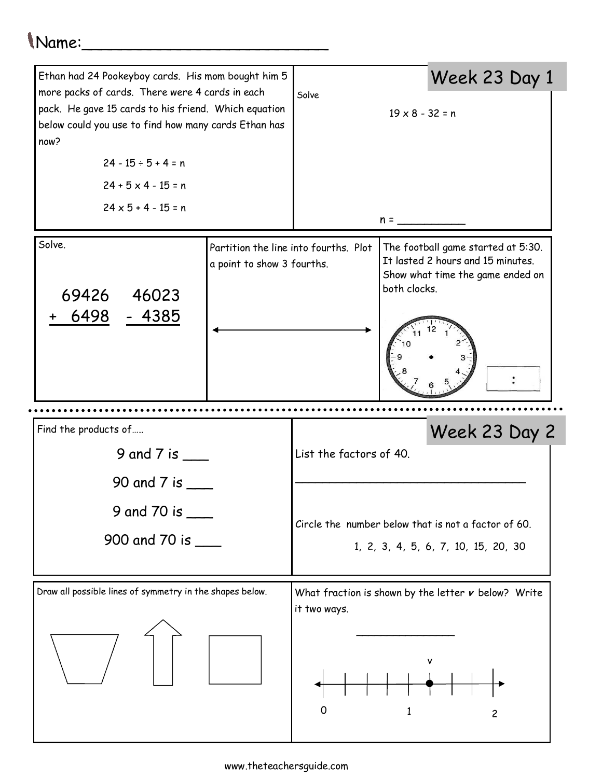## Name:\_\_\_\_\_\_\_\_\_\_\_\_\_\_\_\_\_\_\_\_\_\_\_\_\_

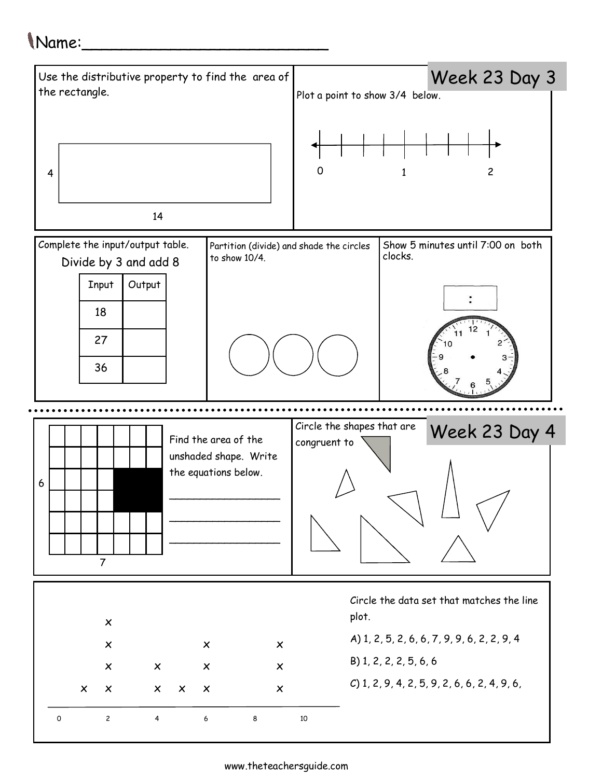## Name:\_\_\_\_\_\_\_\_\_\_\_\_\_\_\_\_\_\_\_\_\_\_\_\_\_